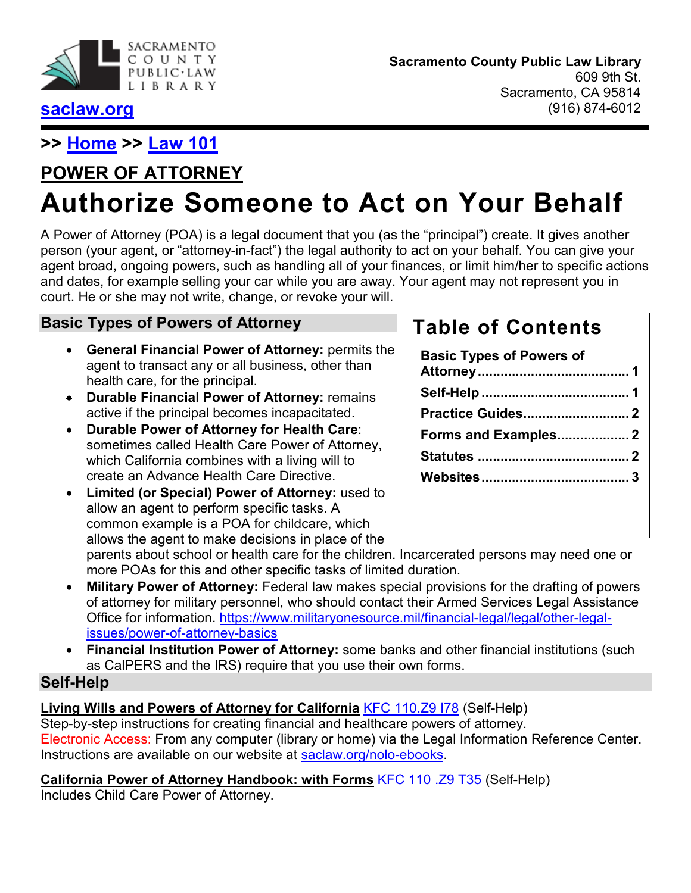

### **[saclaw.org](https://saclaw.org/)**

## **>> [Home](https://saclaw.org/) >> [Law 101](https://saclaw.org/law-101/)**

# **POWER OF ATTORNEY**

# **Authorize Someone to Act on Your Behalf**

A Power of Attorney (POA) is a legal document that you (as the "principal") create. It gives another person (your agent, or "attorney-in-fact") the legal authority to act on your behalf. You can give your agent broad, ongoing powers, such as handling all of your finances, or limit him/her to specific actions and dates, for example selling your car while you are away. Your agent may not represent you in court. He or she may not write, change, or revoke your will.

### <span id="page-0-0"></span>**Basic Types of Powers of Attorney**

- **General Financial Power of Attorney:** permits the agent to transact any or all business, other than health care, for the principal.
- **Durable Financial Power of Attorney:** remains active if the principal becomes incapacitated.
- **Durable Power of Attorney for Health Care**: sometimes called Health Care Power of Attorney, which California combines with a living will to create an Advance Health Care Directive.
- **Limited (or Special) Power of Attorney:** used to allow an agent to perform specific tasks. A common example is a POA for childcare, which allows the agent to make decisions in place of the

# **Table of Contents**

| <b>Basic Types of Powers of</b> |  |
|---------------------------------|--|
|                                 |  |
| <b>Practice Guides 2</b>        |  |
| Forms and Examples 2            |  |
|                                 |  |
|                                 |  |
|                                 |  |

parents about school or health care for the children. Incarcerated persons may need one or more POAs for this and other specific tasks of limited duration.

- **Military Power of Attorney:** Federal law makes special provisions for the drafting of powers of attorney for military personnel, who should contact their Armed Services Legal Assistance Office for information. [https://www.militaryonesource.mil/financial-legal/legal/other-legal](https://www.militaryonesource.mil/financial-legal/legal/other-legal-issues/power-of-attorney-basics)[issues/power-of-attorney-basics](https://www.militaryonesource.mil/financial-legal/legal/other-legal-issues/power-of-attorney-basics)
- **Financial Institution Power of Attorney:** some banks and other financial institutions (such as CalPERS and the IRS) require that you use their own forms.

### <span id="page-0-1"></span>**Self-Help**

### **Living Wills and Powers of Attorney for California** [KFC 110.Z9 I78](https://bit.ly/33gtAIO) (Self-Help)

Step-by-step instructions for creating financial and healthcare powers of attorney. Electronic Access: From any computer (library or home) via the Legal Information Reference Center. Instructions are available on our website at [saclaw.org/nolo-ebooks.](https://saclaw.org/nolo-ebooks)

### **California Power of Attorney Handbook: with Forms** [KFC 110 .Z9 T35](https://bit.ly/2SpC662) (Self-Help)

Includes Child Care Power of Attorney.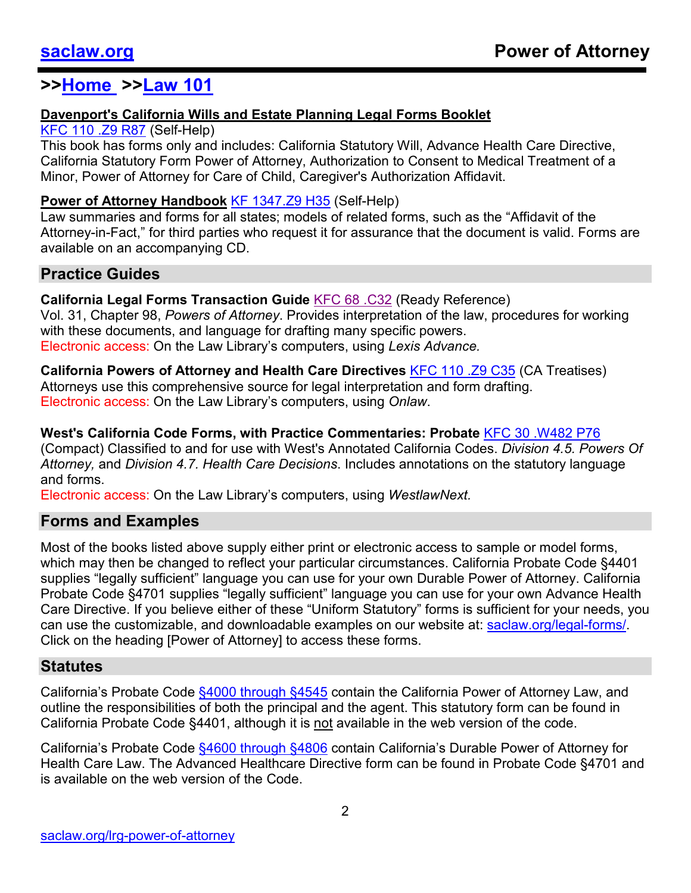### **>[>Home](https://saclaw.org/) >[>Law 101](https://saclaw.org/law-101/)**

### **Davenport's California Wills and Estate Planning Legal Forms Booklet**

### [KFC 110 .Z9 R87](https://bit.ly/2Rq7WPD) (Self-Help)

This book has forms only and includes: California Statutory Will, Advance Health Care Directive, California Statutory Form Power of Attorney, Authorization to Consent to Medical Treatment of a Minor, Power of Attorney for Care of Child, Caregiver's Authorization Affidavit.

### **Power of Attorney Handbook [KF 1347.Z9 H35](https://bit.ly/3vF5RxP) (Self-Help)**

Law summaries and forms for all states; models of related forms, such as the "Affidavit of the Attorney-in-Fact," for third parties who request it for assurance that the document is valid. Forms are available on an accompanying CD.

### <span id="page-1-0"></span>**Practice Guides**

### **California Legal Forms Transaction Guide** [KFC 68 .C32](https://bit.ly/3eTvynJ) (Ready Reference) Vol. 31, Chapter 98, *Powers of Attorney*. Provides interpretation of the law, procedures for working with these documents, and language for drafting many specific powers. Electronic access: On the Law Library's computers, using *Lexis Advance.*

**California Powers of Attorney and Health Care Directives KFC 110 [.Z9 C35](https://bit.ly/3ehQ8iH) (CA Treatises)** Attorneys use this comprehensive source for legal interpretation and form drafting. Electronic access: On the Law Library's computers, using *Onlaw*.

### **West's California Code Forms, with Practice Commentaries: Probate** [KFC 30 .W482 P76](https://bit.ly/2PMjxI8)

(Compact) Classified to and for use with West's Annotated California Codes. *Division 4.5. Powers Of Attorney,* and *Division 4.7. Health Care Decisions*. Includes annotations on the statutory language and forms.

Electronic access: On the Law Library's computers, using *WestlawNext.*

### <span id="page-1-1"></span>**Forms and Examples**

Most of the books listed above supply either print or electronic access to sample or model forms, which may then be changed to reflect your particular circumstances. California Probate Code §4401 supplies "legally sufficient" language you can use for your own Durable Power of Attorney. California Probate Code §4701 supplies "legally sufficient" language you can use for your own Advance Health Care Directive. If you believe either of these "Uniform Statutory" forms is sufficient for your needs, you can use the customizable, and downloadable examples on our website at: [saclaw.org/legal-forms/.](https://saclaw.org/legal-forms/) Click on the heading [Power of Attorney] to access these forms.

### <span id="page-1-2"></span>**Statutes**

California's Probate Code \$4000 through \$4545 contain the California Power of Attorney Law, and outline the responsibilities of both the principal and the agent. This statutory form can be found in California Probate Code §4401, although it is not available in the web version of the code.

California's Probate Code \$4600 through \$4806 contain California's Durable Power of Attorney for Health Care Law. The Advanced Healthcare Directive form can be found in Probate Code §4701 and is available on the web version of the Code.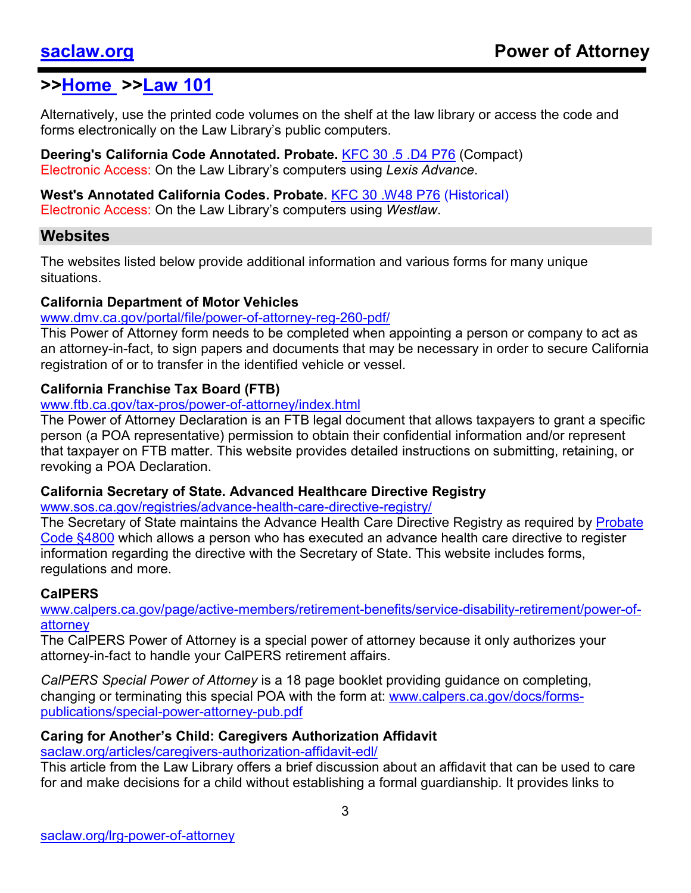### **>[>Home](https://saclaw.org/) >[>Law 101](https://saclaw.org/law-101/)**

Alternatively, use the printed code volumes on the shelf at the law library or access the code and forms electronically on the Law Library's public computers.

**Deering's California Code Annotated. Probate.** [KFC 30 .5 .D4 P76](https://bit.ly/3vBhN3C) (Compact) Electronic Access: On the Law Library's computers using *Lexis Advance*.

**West's Annotated California Codes. Probate.** [KFC 30 .W48 P76](https://bit.ly/3ui5ysA) (Historical) Electronic Access: On the Law Library's computers using *Westlaw*.

### <span id="page-2-0"></span>**Websites**

The websites listed below provide additional information and various forms for many unique situations.

### **California Department of Motor Vehicles**

### [www.dmv.ca.gov/portal/file/power-of-attorney-reg-260-pdf/](https://www.dmv.ca.gov/portal/file/power-of-attorney-reg-260-pdf/)

This Power of Attorney form needs to be completed when appointing a person or company to act as an attorney-in-fact, to sign papers and documents that may be necessary in order to secure California registration of or to transfer in the identified vehicle or vessel.

### **California Franchise Tax Board (FTB)**

### [www.ftb.ca.gov/tax-pros/power-of-attorney/index.html](https://www.ftb.ca.gov/tax-pros/power-of-attorney/index.html)

The Power of Attorney Declaration is an FTB legal document that allows taxpayers to grant a specific person (a POA representative) permission to obtain their confidential information and/or represent that taxpayer on FTB matter. This website provides detailed instructions on submitting, retaining, or revoking a POA Declaration.

### **California Secretary of State. Advanced Healthcare Directive Registry**

[www.sos.ca.gov/registries/advance-health-care-directive-registry/](http://www.sos.ca.gov/registries/advance-health-care-directive-registry/)

The Secretary of State maintains the Advance Health Care Directive Registry as reguired by Probate [Code §4800](http://leginfo.legislature.ca.gov/faces/codes_displaySection.xhtml?lawCode=PROB§ionNum=4800.) which allows a person who has executed an advance health care directive to register information regarding the directive with the Secretary of State. This website includes forms, regulations and more.

### **CalPERS**

[www.calpers.ca.gov/page/active-members/retirement-benefits/service-disability-retirement/power-of](http://www.calpers.ca.gov/page/active-members/retirement-benefits/service-disability-retirement/power-of-attorney)[attorney](http://www.calpers.ca.gov/page/active-members/retirement-benefits/service-disability-retirement/power-of-attorney)

The CalPERS Power of Attorney is a special power of attorney because it only authorizes your attorney-in-fact to handle your CalPERS retirement affairs.

*CalPERS Special Power of Attorney* is a 18 page booklet providing guidance on completing, changing or terminating this special POA with the form at: [www.calpers.ca.gov/docs/forms](https://www.calpers.ca.gov/docs/forms-publications/special-power-attorney-pub.pdf)[publications/special-power-attorney-pub.pdf](https://www.calpers.ca.gov/docs/forms-publications/special-power-attorney-pub.pdf)

### **Caring for Another's Child: Caregivers Authorization Affidavit**

[saclaw.org/articles/caregivers-authorization-affidavit-edl/](https://saclaw.org/articles/caregivers-authorization-affidavit-edl/)

This article from the Law Library offers a brief discussion about an affidavit that can be used to care for and make decisions for a child without establishing a formal guardianship. It provides links to